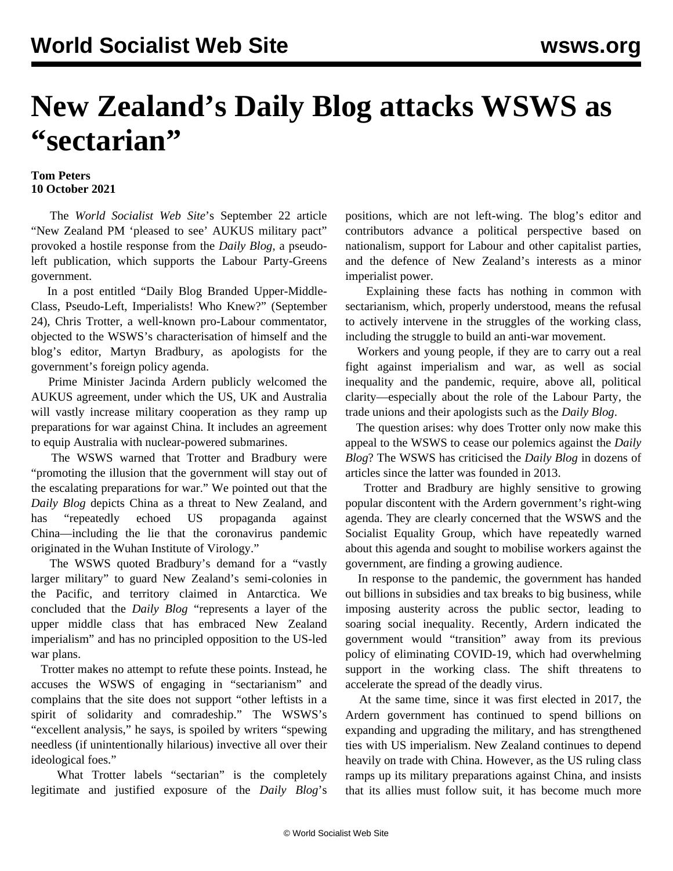## **New Zealand's Daily Blog attacks WSWS as "sectarian"**

## **Tom Peters 10 October 2021**

 The *World Socialist Web Site*'s September 22 article ["New Zealand PM 'pleased to see' AUKUS military pact"](/en/articles/2021/09/22/nzau-s22.html) provoked a hostile response from the *Daily Blog*, a pseudoleft publication, which supports the Labour Party-Greens government.

 In a post entitled "Daily Blog Branded Upper-Middle-Class, Pseudo-Left, Imperialists! Who Knew?" (September 24), Chris Trotter, a well-known pro-Labour commentator, objected to the WSWS's characterisation of himself and the blog's editor, Martyn Bradbury, as apologists for the government's foreign policy agenda.

 Prime Minister Jacinda Ardern publicly welcomed the AUKUS agreement, under which the US, UK and Australia will vastly increase military cooperation as they ramp up preparations for war against China. It includes an agreement to equip Australia with nuclear-powered submarines.

 The WSWS warned that Trotter and Bradbury were "promoting the illusion that the government will stay out of the escalating preparations for war." We pointed out that the *Daily Blog* depicts China as a threat to New Zealand, and has "repeatedly echoed US [propaganda](/en/articles/2021/09/08/nswu-s08.html) against China—including the lie that the coronavirus pandemic originated in the Wuhan Institute of Virology."

 The WSWS quoted Bradbury's demand for a "vastly larger military" to guard New Zealand's semi-colonies in the Pacific, and territory claimed in Antarctica. We concluded that the *Daily Blog* "represents a layer of the upper middle class that has embraced New Zealand imperialism" and has no principled opposition to the US-led war plans.

 Trotter makes no attempt to refute these points. Instead, he accuses the WSWS of engaging in "sectarianism" and complains that the site does not support "other leftists in a spirit of solidarity and comradeship." The WSWS's "excellent analysis," he says, is spoiled by writers "spewing needless (if unintentionally hilarious) invective all over their ideological foes."

 What Trotter labels "sectarian" is the completely legitimate and justified exposure of the *Daily Blog*'s positions, which are not left-wing. The blog's editor and contributors advance a political perspective based on nationalism, support for Labour and other capitalist parties, and the defence of New Zealand's interests as a minor imperialist power.

 Explaining these facts has nothing in common with sectarianism, which, properly understood, means the refusal to actively intervene in the struggles of the working class, including the struggle to build an anti-war movement.

 Workers and young people, if they are to carry out a real fight against imperialism and war, as well as social inequality and the pandemic, require, above all, political clarity—especially about the role of the Labour Party, the trade unions and their apologists such as the *Daily Blog*.

 The question arises: why does Trotter only now make this appeal to the WSWS to cease our polemics against the *Daily Blog*? The WSWS has criticised the *Daily Blog* in dozens of articles since the latter was founded in 2013.

 Trotter and Bradbury are highly sensitive to growing popular discontent with the Ardern government's right-wing agenda. They are clearly concerned that the WSWS and the Socialist Equality Group, which have repeatedly warned about this agenda and sought to mobilise workers against the government, are finding a growing audience.

 In response to the pandemic, the government has handed out billions in subsidies and tax breaks to big business, while imposing austerity across the public sector, leading to soaring social inequality. Recently, Ardern indicated the government would "transition" away from its previous policy of eliminating COVID-19, which had overwhelming support in the working class. The shift threatens to accelerate the spread of the deadly virus.

 At the same time, since it was first elected in 2017, the Ardern government has continued to spend billions on expanding and upgrading the military, and has strengthened ties with US imperialism. New Zealand continues to depend heavily on trade with China. However, as the US ruling class ramps up its military preparations against China, and insists that its allies must follow suit, it has become much more